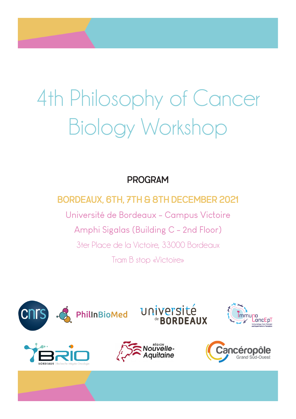#### Program

#### Bordeaux, 6th, 7th & 8th December 2021

Université de Bordeaux - Campus Victoire Amphi Sigalas (Building C - 2nd Floor) 3ter Place de la Victoire, 33000 Bordeaux Tram B stop «Victoire»

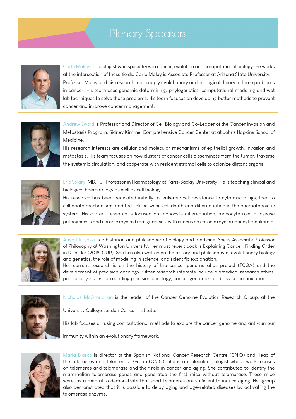#### Plenary Speakers



Carlo Maley is a biologist who specializes in cancer, evolution and computational biology. He works at the intersection of these fields. Carlo Maley is Associate Professor at Arizona State University. Professor Maley and his research team apply evolutionary and ecological theory to three problems in cancer. His team uses genomic data mining, phylogenetics, computational modeling and wet lab techniques to solve these problems. His team focuses on developing better methods to prevent cancer and improve cancer management.



Andrew Ewald is Professor and Director of Cell Biology and Co-Leader of the Cancer Invasion and Metastasis Program, Sidney Kimmel Comprehensive Cancer Center at at Johns Hopkins School of Medicine.

His research interests are cellular and molecular mechanisms of epithelial growth, invasion and metastasis. His team focuses on how clusters of cancer cells disseminate from the tumor, traverse the systemic circulation, and cooperate with resident stromal cells to colonize distant organs.



Eric Solary, MD, Full Professor in Haematology at Paris-Saclay University. He is teaching clinical and biological haematology as well as cell biology.

His research has been dedicated initially to leukemic cell resistance to cytotoxic drugs, then to cell death mechanisms and the link between cell death and differentiation in the haematopoietic system. His current research is focused on monocyte differentiation, monocyte role in disease pathogenesis and chronic myeloid malignancies, with a focus on chronic myelomonocytic leukemia.



Anya Plutynski is a historian and philosopher of biology and medicine. She is Associate Professor of Philosophy at Washington University. Her most recent book is Explaining Cancer: Finding Order in Disorder (2018, OUP). She has also written on the history and philosophy of evolutionary biology and genetics, the role of modeling in science, and scientific explanation.

Her current research is on the history of the cancer genome atlas project (TCGA) and the development of precision oncology. Other research interests include biomedical research ethics, particularly issues surrounding precision oncology, cancer genomics, and risk communication.



Nicholas McGranahan is the leader of the Cancer Genome Evolution Research Group, at the

University College London Cancer Institute.

His lab focuses on using computational methods to explore the cancer genome and anti-tumour

immunity within an evolutionary framework..



Maria Blasco is director of the Spanish National Cancer Research Centre (CNIO) and Head of the Telomeres and Telomerase Group (CNIO). She is a molecular biologist whose work focuses on telomeres and telomerase and their role in cancer and aging. She contributed to identify the mammalian telomerase genes and generated the first mice without telomerase. These mice were instrumental to demonstrate that short telomeres are sufficient to induce aging. Her group also demonstrated that it is possible to delay aging and age-related diseases by activating the telomerase enzyme.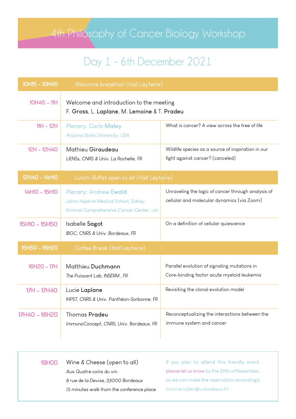# Day 1 - 6th December 2021

| 10H15 - 10H45 | Welcome breakfast (Hall Leyteire)                                                                               |                                                                                                  |  |
|---------------|-----------------------------------------------------------------------------------------------------------------|--------------------------------------------------------------------------------------------------|--|
| $10H45 - 11H$ | Welcome and introduction to the meeting<br>F. Gross, L. Laplane, M. Lemoine & T. Pradeu                         |                                                                                                  |  |
| $11H - 12H$   | <b>Plenary: Carlo Maley</b><br>Arizona State University, USA                                                    | What is cancer? A view across the tree of life                                                   |  |
| 12H - 12H40   | Mathieu Giraudeau<br>LIENSs, CNRS & Univ. La Rochelle, FR                                                       | Wildlife species as a source of inspiration in our<br>fight against cancer? [canceled]           |  |
| 12H40 - 14H10 | Lunch: Buffet open to all (Hall Leyteire)                                                                       |                                                                                                  |  |
| 14H10 - 15H10 | <b>Plenary: Andrew Ewald</b><br>Johns Hopkins Medical School, Sidney<br>Kimmel Comprehensive Cancer Center, USA | Unraveling the logic of cancer through analysis of<br>cellular and molecular dynamics [via Zoom] |  |
| 15H10 - 15H50 | Isabelle Sagot<br>IBGC, CNRS & Univ. Bordeaux, FR                                                               | On a definition of cellular quiescence                                                           |  |
| 15H50 - 16H20 | Coffee Break (Hall Leyteire)                                                                                    |                                                                                                  |  |
| 16H20 - 17H   | Matthieu Duchmann<br>The Puissant Lab, INSERM, FR                                                               | Parallel evolution of signaling mutations in<br>Core-binding factor acute myeloid leukemia       |  |
| 17H - 17H40   | Lucie Laplane<br>IHPST, CNRS & Univ. Panthéon-Sorbonne, FR                                                      | Revisiting the clonal evolution model                                                            |  |
| 17H40 - 18H20 | <b>Thomas Pradeu</b><br>ImmunoConcept, CNRS, Univ. Bordeaux, FR                                                 | Reconceptualizing the interactions between the<br>immune system and cancer                       |  |

| <b>19HOO</b> | Wine & Cheese (open to all)               | If you plan to attend this friendly event,  |
|--------------|-------------------------------------------|---------------------------------------------|
|              | Aux Quatre coins du vin                   | please let us know by the 30th of November, |
|              | 8 rue de la Devise, 33000 Bordeaux        | so we can make the reservation accordingly  |
|              | 15 minutes walk from the conference place | (corinne.luijten@u-bordeaux.fr).            |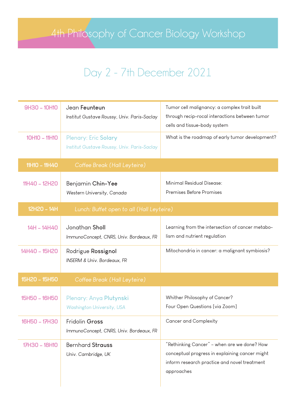## Day 2 - 7th December 2021

| 9H30 - 10H10         | Jean Feunteun<br>Institut Gustave Roussy, Univ. Paris-Saclay               | Tumor cell malignancy: a complex trait built<br>through recip-rocal interactions between tumor<br>cells and tissue-body system                              |
|----------------------|----------------------------------------------------------------------------|-------------------------------------------------------------------------------------------------------------------------------------------------------------|
| 10H10 - 11H10        | <b>Plenary: Eric Solary</b><br>Institut Gustave Roussy, Univ. Paris-Saclay | What is the roadmap of early tumor development?                                                                                                             |
| 11H10 - 11H40        | Coffee Break (Hall Leyteire)                                               |                                                                                                                                                             |
| 11H40 - 12H20        | Benjamin Chin-Yee<br>Western University, Canada                            | Minimal Residual Disease:<br>Premises Before Promises                                                                                                       |
| 12H20 - 14H          | Lunch: Buffet open to all (Hall Leyteire)                                  |                                                                                                                                                             |
| 14H - 14H40          | Jonathan Sholl<br>ImmunoConcept, CNRS, Univ. Bordeaux, FR                  | Learning from the intersection of cancer metabo-<br>lism and nutrient regulation                                                                            |
| 14H40 - 15H20        | Rodrigue Rossignol<br><b>INSERM &amp; Univ. Bordeaux, FR</b>               | Mitochondria in cancer: a malignant symbiosis?                                                                                                              |
| 15H20 - 15H50        | Coffee Break (Hall Leyteire)                                               |                                                                                                                                                             |
| <b>15H50 - 16H50</b> | Plenary: Anya Plutynski<br><b>Washington University, USA</b>               | Whither Philosophy of Cancer?<br>Four Open Questions [via Zoom]                                                                                             |
| 16H50 - 17H30        | Fridolin Gross<br>ImmunoConcept, CNRS, Univ. Bordeaux, FR                  | Cancer and Complexity                                                                                                                                       |
| 17H30 - 18H10        | <b>Bernhard Strauss</b><br>Univ. Cambridge, UK                             | "Rethinking Cancer" – when are we done? How<br>conceptual progress in explaining cancer might<br>inform research practice and novel treatment<br>approaches |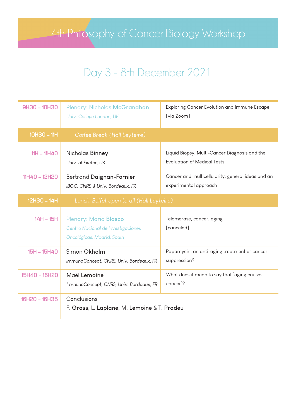## Day 3 - 8th December 2021

| 9H30 - 10H30       | Plenary: Nicholas McGranahan<br>Univ. College London, UK                                  | Exploring Cancer Evolution and Immune Escape<br>[via Zoom]                          |
|--------------------|-------------------------------------------------------------------------------------------|-------------------------------------------------------------------------------------|
| $10H30 - 11H$      | Coffee Break (Hall Leyteire)                                                              |                                                                                     |
| $11H - 11H40$      | Nicholas Binney<br>Univ. of Exeter, UK                                                    | Liquid Biopsy, Multi-Cancer Diagnosis and the<br><b>Evaluation of Medical Tests</b> |
| 11H40 - 12H20      | Bertrand Daignan-Fornier<br>IBGC, CNRS & Univ. Bordeaux, FR                               | Cancer and multicellularity: general ideas and an<br>experimental approach          |
| 12H30 - 14H        | Lunch: Buffet open to all (Hall Leyteire)                                                 |                                                                                     |
| $14H - 15H$        | Plenary: Maria Blasco<br>Centro Nacional de Investigaciones<br>Oncológicas, Madrid, Spain | Telomerase, cancer, aging<br>[canceled]                                             |
| <b>15H - 15H40</b> | Simon Okholm<br>ImmunoConcept, CNRS, Univ. Bordeaux, FR                                   | Rapamycin: an anti-aging treatment or cancer<br>suppression?                        |
| 15H40 - 16H20      | Maël Lemoine<br>ImmunoConcept, CNRS, Univ. Bordeaux, FR                                   | What does it mean to say that 'aging causes<br>cancer'?                             |
| 16H20 - 16H35      | Conclusions<br>F. Gross, L. Laplane, M. Lemoine & T. Pradeu                               |                                                                                     |